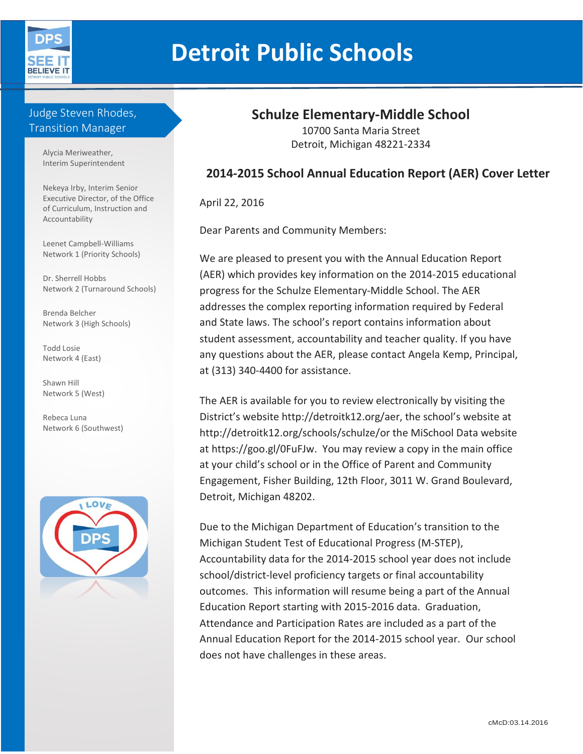

# **Detroit Public Schools**

# Judge Steven Rhodes, Transition Manager

Alycia Meriweather, Interim Superintendent

Nekeya Irby, Interim Senior Executive Director, of the Office of Curriculum, Instruction and Accountability

Leenet Campbell-Williams Network 1 (Priority Schools)

Dr. Sherrell Hobbs Network 2 (Turnaround Schools)

Brenda Belcher Network 3 (High Schools)

Todd Losie Network 4 (East)

Shawn Hill Network 5 (West)

Rebeca Luna Network 6 (Southwest)



# **Schulze Elementary-Middle School**

10700 Santa Maria Street Detroit, Michigan 48221-2334

### **2014-2015 School Annual Education Report (AER) Cover Letter**

April 22, 2016

Dear Parents and Community Members:

We are pleased to present you with the Annual Education Report (AER) which provides key information on the 2014-2015 educational progress for the Schulze Elementary-Middle School. The AER addresses the complex reporting information required by Federal and State laws. The school's report contains information about student assessment, accountability and teacher quality. If you have any questions about the AER, please contact Angela Kemp, Principal, at (313) 340-4400 for assistance.

The AER is available for you to review electronically by visiting the District's website http://detroitk12.org/aer, the school's website at http://detroitk12.org/schools/schulze/or the MiSchool Data website at https://goo.gl/0FuFJw. You may review a copy in the main office at your child's school or in the Office of Parent and Community Engagement, Fisher Building, 12th Floor, 3011 W. Grand Boulevard, Detroit, Michigan 48202.

Due to the Michigan Department of Education's transition to the Michigan Student Test of Educational Progress (M-STEP), Accountability data for the 2014-2015 school year does not include school/district-level proficiency targets or final accountability outcomes. This information will resume being a part of the Annual Education Report starting with 2015-2016 data. Graduation, Attendance and Participation Rates are included as a part of the Annual Education Report for the 2014-2015 school year. Our school does not have challenges in these areas.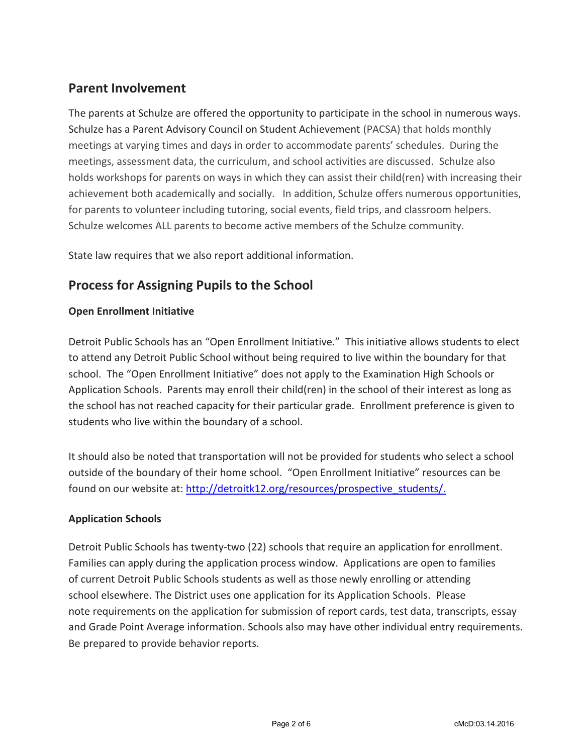## **Parent Involvement**

The parents at Schulze are offered the opportunity to participate in the school in numerous ways. Schulze has a Parent Advisory Council on Student Achievement (PACSA) that holds monthly meetings at varying times and days in order to accommodate parents' schedules. During the meetings, assessment data, the curriculum, and school activities are discussed. Schulze also holds workshops for parents on ways in which they can assist their child(ren) with increasing their achievement both academically and socially. In addition, Schulze offers numerous opportunities, for parents to volunteer including tutoring, social events, field trips, and classroom helpers. Schulze welcomes ALL parents to become active members of the Schulze community.

State law requires that we also report additional information.

# **Process for Assigning Pupils to the School**

#### **Open Enrollment Initiative**

Detroit Public Schools has an "Open Enrollment Initiative." This initiative allows students to elect to attend any Detroit Public School without being required to live within the boundary for that school. The "Open Enrollment Initiative" does not apply to the Examination High Schools or Application Schools. Parents may enroll their child(ren) in the school of their interest as long as the school has not reached capacity for their particular grade. Enrollment preference is given to students who live within the boundary of a school.

It should also be noted that transportation will not be provided for students who select a school outside of the boundary of their home school. "Open Enrollment Initiative" resources can be found on our website at: [http://detroitk12.org/resources/prospective\\_students/.](http://detroitk12.org/resources/prospective_students/)

#### **Application Schools**

Detroit Public Schools has twenty-two (22) schools that require an application for enrollment. Families can apply during the application process window. Applications are open to families of current Detroit Public Schools students as well as those newly enrolling or attending school elsewhere. The District uses one application for its Application Schools. Please note requirements on the application for submission of report cards, test data, transcripts, essay and Grade Point Average information. Schools also may have other individual entry requirements. Be prepared to provide behavior reports.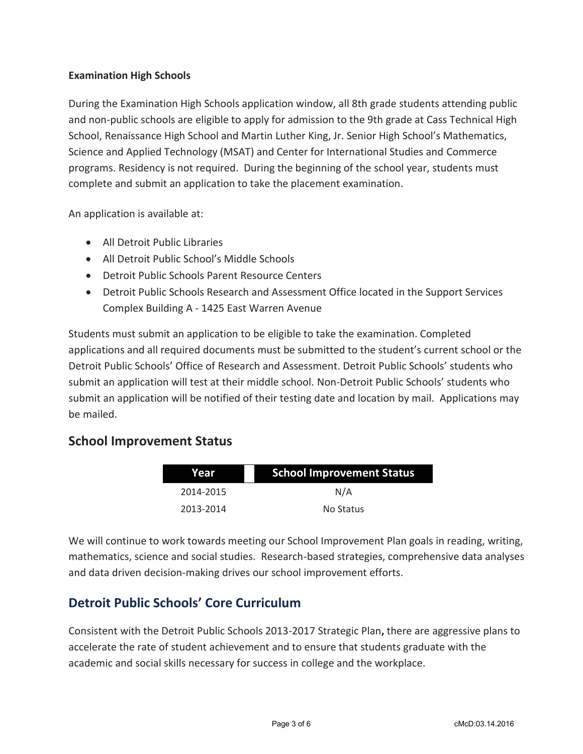#### **Examination High Schools**

During the Examination High Schools application window, all 8th grade students attending public and non-public schools are eligible to apply for admission to the 9th grade at Cass Technical High School, Renaissance High School and Martin Luther King, Jr. Senior High School's Mathematics, Science and Applied Technology (MSAT) and Center for International Studies and Commerce programs. Residency is not required. During the beginning of the school year, students must complete and submit an application to take the placement examination.

An application is available at:

- All Detroit Public Libraries
- All Detroit Public School's Middle Schools
- Detroit Public Schools Parent Resource Centers
- Detroit Public Schools Research and Assessment Office located in the Support Services Complex Building A - 1425 East Warren Avenue

Students must submit an application to be eligible to take the examination. Completed applications and all required documents must be submitted to the student's current school or the Detroit Public Schools' Office of Research and Assessment. Detroit Public Schools' students who submit an application will test at their middle school. Non-Detroit Public Schools' students who submit an application will be notified of their testing date and location by mail. Applications may be mailed.

## **School Improvement Status**

| Year      | <b>School Improvement Status</b> |  |
|-----------|----------------------------------|--|
| 2014-2015 | N/A                              |  |
| 2013-2014 | No Status                        |  |

We will continue to work towards meeting our School Improvement Plan goals in reading, writing, mathematics, science and social studies. Research-based strategies, comprehensive data analyses and data driven decision-making drives our school improvement efforts.

# **Detroit Public Schools' Core Curriculum**

Consistent with the Detroit Public Schools 2013-2017 Strategic Plan**,** there are aggressive plans to accelerate the rate of student achievement and to ensure that students graduate with the academic and social skills necessary for success in college and the workplace.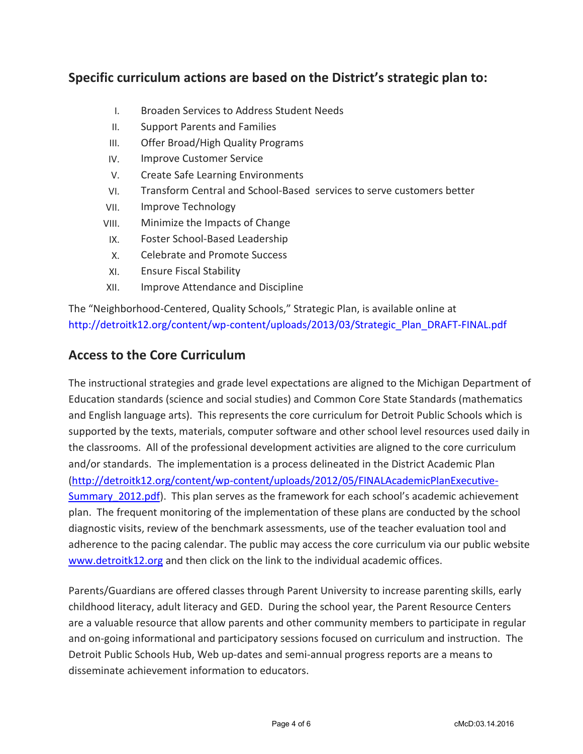## **Specific curriculum actions are based on the District's strategic plan to:**

- I. Broaden Services to Address Student Needs
- II. Support Parents and Families
- III. Offer Broad/High Quality Programs
- IV. Improve Customer Service
- V. Create Safe Learning Environments
- VI. Transform Central and School-Based services to serve customers better
- VII. Improve Technology
- VIII. Minimize the Impacts of Change
- IX. Foster School-Based Leadership
- X. Celebrate and Promote Success
- XI. Ensure Fiscal Stability
- XII. Improve Attendance and Discipline

The "Neighborhood-Centered, Quality Schools," Strategic Plan, is available online at [http://detroitk12.org/content/wp-content/uploads/2013/03/Strategic\\_Plan\\_DRAFT-FINAL.pdf](http://detroitk12.org/content/wp-content/uploads/2013/03/Strategic_Plan_DRAFT-FINAL.pdf)

## **Access to the Core Curriculum**

The instructional strategies and grade level expectations are aligned to the Michigan Department of Education standards (science and social studies) and Common Core State Standards (mathematics and English language arts). This represents the core curriculum for Detroit Public Schools which is supported by the texts, materials, computer software and other school level resources used daily in the classrooms. All of the professional development activities are aligned to the core curriculum and/or standards. The implementation is a process delineated in the District Academic Plan [\(http://detroitk12.org/content/wp-content/uploads/2012/05/FINALAcademicPlanExecutive-](http://detroitk12.org/content/wp-content/uploads/2012/05/FINALAcademicPlanExecutive-Summary_2012.pdf)Summary 2012.pdf). This plan serves as the framework for each school's academic achievement plan. The frequent monitoring of the implementation of these plans are conducted by the school diagnostic visits, review of the benchmark assessments, use of the teacher evaluation tool and adherence to the pacing calendar. The public may access the core curriculum via our public website [www.detroitk12.org](http://www.detroitk12.org/) and then click on the link to the individual academic offices.

Parents/Guardians are offered classes through Parent University to increase parenting skills, early childhood literacy, adult literacy and GED. During the school year, the Parent Resource Centers are a valuable resource that allow parents and other community members to participate in regular and on-going informational and participatory sessions focused on curriculum and instruction. The Detroit Public Schools Hub, Web up-dates and semi-annual progress reports are a means to disseminate achievement information to educators.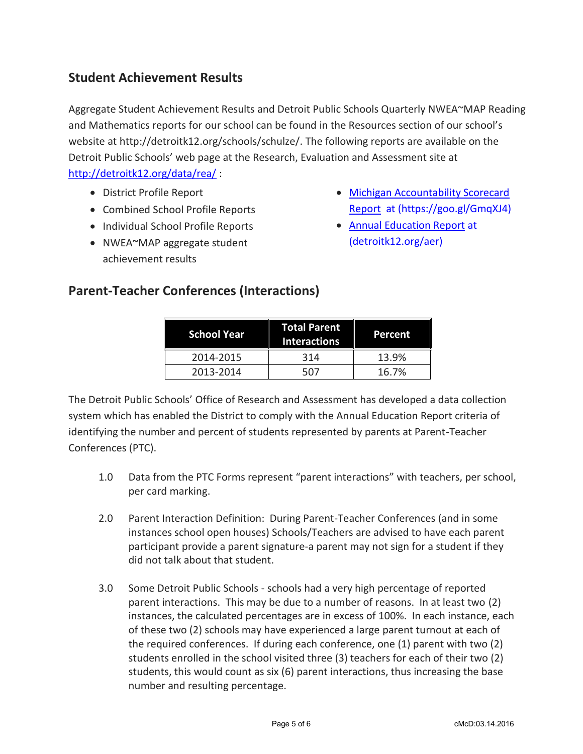## **Student Achievement Results**

Aggregate Student Achievement Results and Detroit Public Schools Quarterly NWEA~MAP Reading and Mathematics reports for our school can be found in the Resources section of our school's website at http://detroitk12.org/schools/schulze/. The following reports are available on the Detroit Public Schools' web page at the Research, Evaluation and Assessment site at <http://detroitk12.org/data/rea/> :

- District Profile Report
- Combined School Profile Reports
- Individual School Profile Reports
- NWEA~MAP aggregate student achievement results
- [Michigan Accountability Scorecard](https://goo.gl/GmqXJ4)  [Report](https://goo.gl/GmqXJ4) at (https://goo.gl/GmqXJ4)
- [Annual Education Report](http://detroitk12.org/aer) at (detroitk12.org/aer)

## **Parent-Teacher Conferences (Interactions)**

| <b>School Year</b> | <b>Total Parent</b><br><b>Interactions</b> | Percent |
|--------------------|--------------------------------------------|---------|
| 2014-2015          | 314                                        | 13.9%   |
| 2013-2014          | 507                                        | 16.7%   |

The Detroit Public Schools' Office of Research and Assessment has developed a data collection system which has enabled the District to comply with the Annual Education Report criteria of identifying the number and percent of students represented by parents at Parent-Teacher Conferences (PTC).

- 1.0 Data from the PTC Forms represent "parent interactions" with teachers, per school, per card marking.
- 2.0 Parent Interaction Definition: During Parent-Teacher Conferences (and in some instances school open houses) Schools/Teachers are advised to have each parent participant provide a parent signature-a parent may not sign for a student if they did not talk about that student.
- 3.0 Some Detroit Public Schools schools had a very high percentage of reported parent interactions. This may be due to a number of reasons. In at least two (2) instances, the calculated percentages are in excess of 100%. In each instance, each of these two (2) schools may have experienced a large parent turnout at each of the required conferences. If during each conference, one (1) parent with two (2) students enrolled in the school visited three (3) teachers for each of their two (2) students, this would count as six (6) parent interactions, thus increasing the base number and resulting percentage.